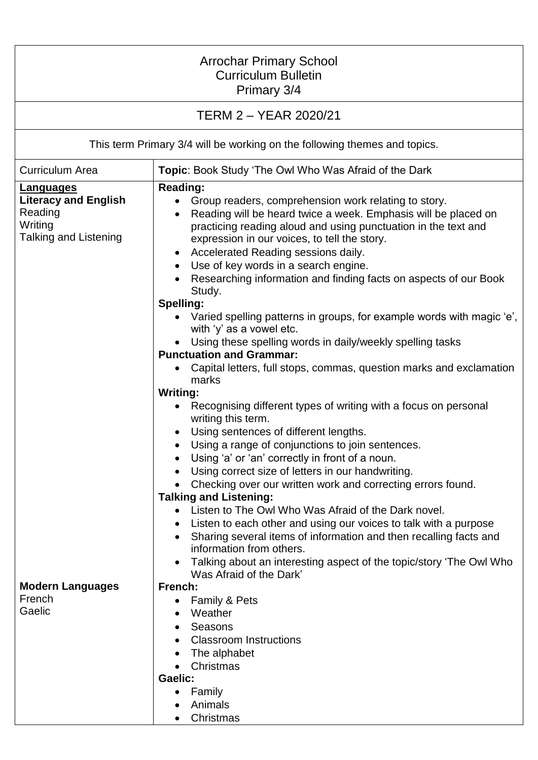| <b>Arrochar Primary School</b><br><b>Curriculum Bulletin</b><br>Primary 3/4                           |                                                                                                                                                                                                                                                                                                                                                                                                                                                                                                                                                                                                                                                                                                                                                                                                                                                                                                                                                    |  |
|-------------------------------------------------------------------------------------------------------|----------------------------------------------------------------------------------------------------------------------------------------------------------------------------------------------------------------------------------------------------------------------------------------------------------------------------------------------------------------------------------------------------------------------------------------------------------------------------------------------------------------------------------------------------------------------------------------------------------------------------------------------------------------------------------------------------------------------------------------------------------------------------------------------------------------------------------------------------------------------------------------------------------------------------------------------------|--|
| TERM 2 - YEAR 2020/21                                                                                 |                                                                                                                                                                                                                                                                                                                                                                                                                                                                                                                                                                                                                                                                                                                                                                                                                                                                                                                                                    |  |
| This term Primary 3/4 will be working on the following themes and topics.                             |                                                                                                                                                                                                                                                                                                                                                                                                                                                                                                                                                                                                                                                                                                                                                                                                                                                                                                                                                    |  |
| <b>Curriculum Area</b>                                                                                | Topic: Book Study 'The Owl Who Was Afraid of the Dark                                                                                                                                                                                                                                                                                                                                                                                                                                                                                                                                                                                                                                                                                                                                                                                                                                                                                              |  |
| <b>Languages</b><br><b>Literacy and English</b><br>Reading<br>Writing<br><b>Talking and Listening</b> | <b>Reading:</b><br>• Group readers, comprehension work relating to story.<br>Reading will be heard twice a week. Emphasis will be placed on<br>$\bullet$<br>practicing reading aloud and using punctuation in the text and<br>expression in our voices, to tell the story.<br>Accelerated Reading sessions daily.<br>Use of key words in a search engine.<br>Researching information and finding facts on aspects of our Book<br>Study.<br>Spelling:<br>Varied spelling patterns in groups, for example words with magic 'e',<br>with 'y' as a vowel etc.<br>Using these spelling words in daily/weekly spelling tasks<br><b>Punctuation and Grammar:</b><br>Capital letters, full stops, commas, question marks and exclamation<br>marks<br><b>Writing:</b><br>Recognising different types of writing with a focus on personal<br>writing this term.<br>Using sentences of different lengths.<br>Using a range of conjunctions to join sentences. |  |
| <b>Modern Languages</b><br>French<br>Gaelic                                                           | Using 'a' or 'an' correctly in front of a noun.<br>Using correct size of letters in our handwriting.<br>Checking over our written work and correcting errors found.<br><b>Talking and Listening:</b><br>• Listen to The Owl Who Was Afraid of the Dark novel.<br>Listen to each other and using our voices to talk with a purpose<br>Sharing several items of information and then recalling facts and<br>information from others.<br>Talking about an interesting aspect of the topic/story 'The Owl Who<br>Was Afraid of the Dark'<br>French:<br>Family & Pets<br>Weather<br>Seasons<br><b>Classroom Instructions</b><br>The alphabet<br>Christmas<br>Gaelic:<br>Family<br>Animals<br>Christmas                                                                                                                                                                                                                                                  |  |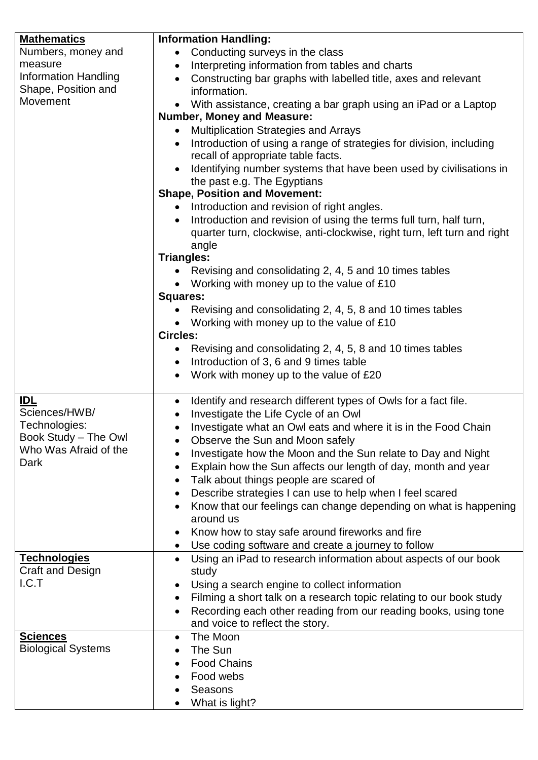| <b>Mathematics</b>                      | <b>Information Handling:</b>                                                                                        |
|-----------------------------------------|---------------------------------------------------------------------------------------------------------------------|
| Numbers, money and                      | • Conducting surveys in the class                                                                                   |
| measure                                 | Interpreting information from tables and charts<br>$\bullet$                                                        |
| <b>Information Handling</b>             | Constructing bar graphs with labelled title, axes and relevant                                                      |
| Shape, Position and                     | information.                                                                                                        |
| Movement                                | With assistance, creating a bar graph using an iPad or a Laptop                                                     |
|                                         | <b>Number, Money and Measure:</b>                                                                                   |
|                                         | <b>Multiplication Strategies and Arrays</b><br>$\bullet$                                                            |
|                                         | Introduction of using a range of strategies for division, including                                                 |
|                                         | recall of appropriate table facts.                                                                                  |
|                                         | Identifying number systems that have been used by civilisations in                                                  |
|                                         | the past e.g. The Egyptians                                                                                         |
|                                         | <b>Shape, Position and Movement:</b>                                                                                |
|                                         | • Introduction and revision of right angles.                                                                        |
|                                         | Introduction and revision of using the terms full turn, half turn,                                                  |
|                                         | quarter turn, clockwise, anti-clockwise, right turn, left turn and right                                            |
|                                         | angle                                                                                                               |
|                                         | <b>Triangles:</b>                                                                                                   |
|                                         | Revising and consolidating 2, 4, 5 and 10 times tables                                                              |
|                                         | • Working with money up to the value of £10                                                                         |
|                                         | <b>Squares:</b>                                                                                                     |
|                                         | • Revising and consolidating 2, 4, 5, 8 and 10 times tables                                                         |
|                                         | Working with money up to the value of £10                                                                           |
|                                         | <b>Circles:</b>                                                                                                     |
|                                         | • Revising and consolidating 2, 4, 5, 8 and 10 times tables                                                         |
|                                         | Introduction of 3, 6 and 9 times table                                                                              |
|                                         | Work with money up to the value of £20<br>$\bullet$                                                                 |
|                                         |                                                                                                                     |
| <b>IDL</b><br>Sciences/HWB/             | Identify and research different types of Owls for a fact file.<br>$\bullet$                                         |
| Technologies:                           | Investigate the Life Cycle of an Owl<br>$\bullet$                                                                   |
| Book Study - The Owl                    | Investigate what an Owl eats and where it is in the Food Chain<br>$\bullet$                                         |
| Who Was Afraid of the                   | Observe the Sun and Moon safely                                                                                     |
| Dark                                    | Investigate how the Moon and the Sun relate to Day and Night                                                        |
|                                         | Explain how the Sun affects our length of day, month and year<br>$\bullet$                                          |
|                                         | Talk about things people are scared of<br>$\bullet$                                                                 |
|                                         | Describe strategies I can use to help when I feel scared                                                            |
|                                         | Know that our feelings can change depending on what is happening                                                    |
|                                         | around us                                                                                                           |
|                                         | Know how to stay safe around fireworks and fire                                                                     |
|                                         | Use coding software and create a journey to follow                                                                  |
| <b>Technologies</b><br>Craft and Design | Using an iPad to research information about aspects of our book<br>$\bullet$                                        |
| I.C.T                                   | study                                                                                                               |
|                                         | Using a search engine to collect information<br>Filming a short talk on a research topic relating to our book study |
|                                         |                                                                                                                     |
|                                         | Recording each other reading from our reading books, using tone<br>and voice to reflect the story.                  |
| <b>Sciences</b>                         | The Moon                                                                                                            |
| <b>Biological Systems</b>               | The Sun                                                                                                             |
|                                         | <b>Food Chains</b>                                                                                                  |
|                                         | Food webs                                                                                                           |
|                                         | Seasons                                                                                                             |
|                                         |                                                                                                                     |
|                                         | What is light?                                                                                                      |